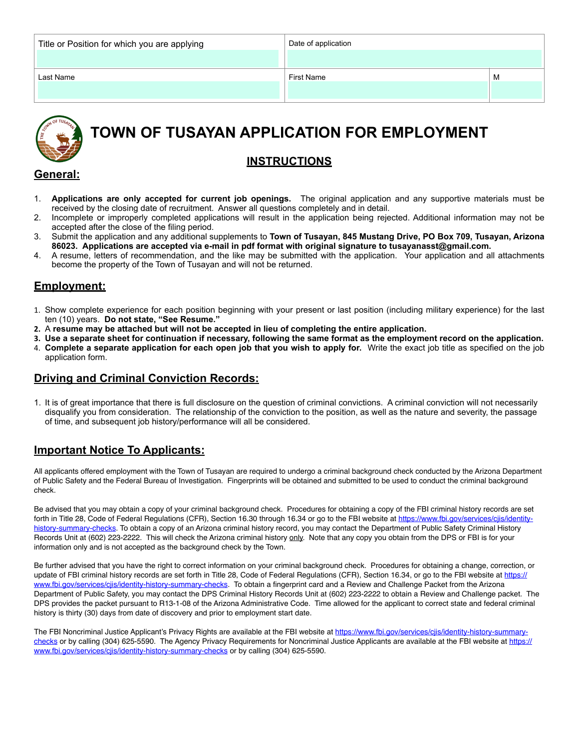| Title or Position for which you are applying | Date of application |   |
|----------------------------------------------|---------------------|---|
| Last Name                                    | First Name          | M |



# **TOWN OF TUSAYAN APPLICATION FOR EMPLOYMENT**

### **INSTRUCTIONS**

#### **General:**

- 1. **Applications are only accepted for current job openings.** The original application and any supportive materials must be received by the closing date of recruitment. Answer all questions completely and in detail.
- 2. Incomplete or improperly completed applications will result in the application being rejected. Additional information may not be accepted after the close of the filing period.
- 3. Submit the application and any additional supplements to **Town of Tusayan, 845 Mustang Drive, PO Box 709, Tusayan, Arizona 86023. Applications are accepted via e-mail in pdf format with original signature to tusayanasst@gmail.com.**
- 4. A resume, letters of recommendation, and the like may be submitted with the application. Your application and all attachments become the property of the Town of Tusayan and will not be returned.

#### **Employment:**

- 1. Show complete experience for each position beginning with your present or last position (including military experience) for the last ten (10) years. **Do not state, "See Resume."**
- **2.** A **resume may be attached but will not be accepted in lieu of completing the entire application.**
- **3. Use a separate sheet for continuation if necessary, following the same format as the employment record on the application.** 4. **Complete a separate application for each open job that you wish to apply for.** Write the exact job title as specified on the job application form.

#### **Driving and Criminal Conviction Records:**

1. It is of great importance that there is full disclosure on the question of criminal convictions. A criminal conviction will not necessarily disqualify you from consideration. The relationship of the conviction to the position, as well as the nature and severity, the passage of time, and subsequent job history/performance will all be considered.

### **Important Notice To Applicants:**

All applicants offered employment with the Town of Tusayan are required to undergo a criminal background check conducted by the Arizona Department of Public Safety and the Federal Bureau of Investigation. Fingerprints will be obtained and submitted to be used to conduct the criminal background check.

Be advised that you may obtain a copy of your criminal background check. Procedures for obtaining a copy of the FBI criminal history records are set forth in Title 28, Code of Federal Regulations (CFR), Section 16.30 through 16.34 or go to the FBI website at [https://www.fbi.gov/services/cjis/identity](https://www.fbi.gov/services/cjis/identity-history-summary-checks)[history-summary-checks.](https://www.fbi.gov/services/cjis/identity-history-summary-checks) To obtain a copy of an Arizona criminal history record, you may contact the Department of Public Safety Criminal History Records Unit at (602) 223-2222. This will check the Arizona criminal history only. Note that any copy you obtain from the DPS or FBI is for your information only and is not accepted as the background check by the Town.

Be further advised that you have the right to correct information on your criminal background check. Procedures for obtaining a change, correction, or update of FBI criminal history records are set forth in Title 28, Code of Federal Regulations (CFR), Section 16.34, or go to the FBI website at [https://](https://www.fbi.gov/services/cjis/identity-history-summary-checks) [www.fbi.gov/services/cjis/identity-history-summary-checks.](https://www.fbi.gov/services/cjis/identity-history-summary-checks) To obtain a fingerprint card and a Review and Challenge Packet from the Arizona Department of Public Safety, you may contact the DPS Criminal History Records Unit at (602) 223-2222 to obtain a Review and Challenge packet. The DPS provides the packet pursuant to R13-1-08 of the Arizona Administrative Code. Time allowed for the applicant to correct state and federal criminal history is thirty (30) days from date of discovery and prior to employment start date.

The FBI Noncriminal Justice Applicant's Privacy Rights are available at the FBI website at [https://www.fbi.gov/services/cjis/identity-history-summary](https://www.fbi.gov/services/cjis/identity-history-summary-checks)[checks](https://www.fbi.gov/services/cjis/identity-history-summary-checks) or by calling (304) 625-5590. The Agency Privacy Requirements for Noncriminal Justice Applicants are available at the FBI website at [https://](https://www.fbi.gov/services/cjis/identity-history-summary-checks) [www.fbi.gov/services/cjis/identity-history-summary-checks](https://www.fbi.gov/services/cjis/identity-history-summary-checks) or by calling (304) 625-5590.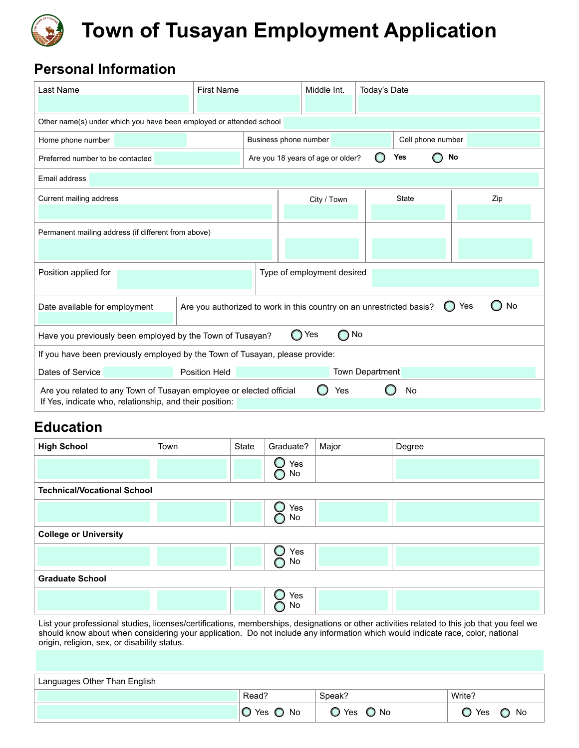

# **Town of Tusayan Employment Application**

# **Personal Information**

| Last Name                                                                                                                                   | <b>First Name</b> |                            | Middle Int.                                    | Today's Date |              |                   |     |
|---------------------------------------------------------------------------------------------------------------------------------------------|-------------------|----------------------------|------------------------------------------------|--------------|--------------|-------------------|-----|
|                                                                                                                                             |                   |                            |                                                |              |              |                   |     |
| Other name(s) under which you have been employed or attended school                                                                         |                   |                            |                                                |              |              |                   |     |
| Home phone number                                                                                                                           |                   | Business phone number      |                                                |              |              | Cell phone number |     |
| Preferred number to be contacted                                                                                                            |                   |                            | No<br>Are you 18 years of age or older?<br>Yes |              |              |                   |     |
| Email address                                                                                                                               |                   |                            |                                                |              |              |                   |     |
| Current mailing address                                                                                                                     |                   |                            | City / Town                                    |              | <b>State</b> |                   | Zip |
|                                                                                                                                             |                   |                            |                                                |              |              |                   |     |
| Permanent mailing address (if different from above)                                                                                         |                   |                            |                                                |              |              |                   |     |
|                                                                                                                                             |                   |                            |                                                |              |              |                   |     |
| Position applied for                                                                                                                        |                   | Type of employment desired |                                                |              |              |                   |     |
|                                                                                                                                             |                   |                            |                                                |              |              |                   |     |
| Are you authorized to work in this country on an unrestricted basis?<br>Date available for employment<br>Yes<br>$\cup$                      |                   |                            |                                                | No           |              |                   |     |
| Yes<br>No<br>$\bigcap$<br>Have you previously been employed by the Town of Tusayan?<br>$\bigcirc$                                           |                   |                            |                                                |              |              |                   |     |
| If you have been previously employed by the Town of Tusayan, please provide:                                                                |                   |                            |                                                |              |              |                   |     |
| Dates of Service<br>Position Held                                                                                                           |                   |                            | Town Department                                |              |              |                   |     |
| Are you related to any Town of Tusayan employee or elected official<br>No<br>Yes<br>If Yes, indicate who, relationship, and their position: |                   |                            |                                                |              |              |                   |     |

## **Education**

| <b>High School</b>                 | Town | State | Graduate? | Major | Degree |  |  |
|------------------------------------|------|-------|-----------|-------|--------|--|--|
|                                    |      |       | Yes<br>No |       |        |  |  |
| <b>Technical/Vocational School</b> |      |       |           |       |        |  |  |
|                                    |      |       | Yes<br>No |       |        |  |  |
| <b>College or University</b>       |      |       |           |       |        |  |  |
|                                    |      |       | Yes<br>No |       |        |  |  |
| <b>Graduate School</b>             |      |       |           |       |        |  |  |
|                                    |      |       | Yes<br>No |       |        |  |  |

List your professional studies, licenses/certifications, memberships, designations or other activities related to this job that you feel we should know about when considering your application. Do not include any information which would indicate race, color, national origin, religion, sex, or disability status.

| Languages Other Than English |            |            |            |
|------------------------------|------------|------------|------------|
|                              | Read?      | Speak?     | Write?     |
|                              | O Yes O No | O Yes O No | O Yes O No |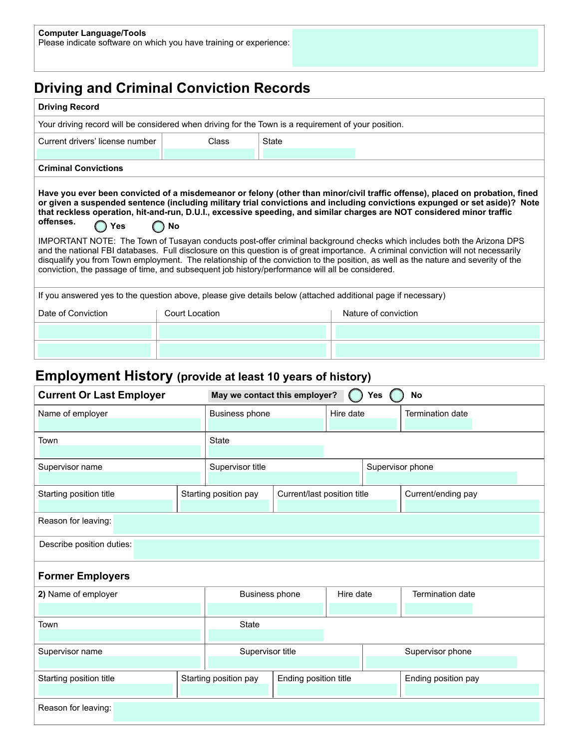# **Driving and Criminal Conviction Records**

| <b>Driving Record</b>                                                                                                                                                                                                                                                                                                                                                                                                                                                                                                                                                                                                                                                                                                                                                                                                                                                                                                              |                |                      |  |  |  |  |  |
|------------------------------------------------------------------------------------------------------------------------------------------------------------------------------------------------------------------------------------------------------------------------------------------------------------------------------------------------------------------------------------------------------------------------------------------------------------------------------------------------------------------------------------------------------------------------------------------------------------------------------------------------------------------------------------------------------------------------------------------------------------------------------------------------------------------------------------------------------------------------------------------------------------------------------------|----------------|----------------------|--|--|--|--|--|
| Your driving record will be considered when driving for the Town is a requirement of your position.                                                                                                                                                                                                                                                                                                                                                                                                                                                                                                                                                                                                                                                                                                                                                                                                                                |                |                      |  |  |  |  |  |
| Current drivers' license number                                                                                                                                                                                                                                                                                                                                                                                                                                                                                                                                                                                                                                                                                                                                                                                                                                                                                                    | <b>Class</b>   | State                |  |  |  |  |  |
|                                                                                                                                                                                                                                                                                                                                                                                                                                                                                                                                                                                                                                                                                                                                                                                                                                                                                                                                    |                |                      |  |  |  |  |  |
| <b>Criminal Convictions</b>                                                                                                                                                                                                                                                                                                                                                                                                                                                                                                                                                                                                                                                                                                                                                                                                                                                                                                        |                |                      |  |  |  |  |  |
| Have you ever been convicted of a misdemeanor or felony (other than minor/civil traffic offense), placed on probation, fined<br>or given a suspended sentence (including military trial convictions and including convictions expunged or set aside)? Note<br>that reckless operation, hit-and-run, D.U.I., excessive speeding, and similar charges are NOT considered minor traffic<br>offenses.<br>$\bigcap$ No<br>Yes<br>IMPORTANT NOTE: The Town of Tusayan conducts post-offer criminal background checks which includes both the Arizona DPS<br>and the national FBI databases. Full disclosure on this question is of great importance. A criminal conviction will not necessarily<br>disqualify you from Town employment. The relationship of the conviction to the position, as well as the nature and severity of the<br>conviction, the passage of time, and subsequent job history/performance will all be considered. |                |                      |  |  |  |  |  |
| If you answered yes to the question above, please give details below (attached additional page if necessary)                                                                                                                                                                                                                                                                                                                                                                                                                                                                                                                                                                                                                                                                                                                                                                                                                       |                |                      |  |  |  |  |  |
| Date of Conviction                                                                                                                                                                                                                                                                                                                                                                                                                                                                                                                                                                                                                                                                                                                                                                                                                                                                                                                 | Court Location | Nature of conviction |  |  |  |  |  |
|                                                                                                                                                                                                                                                                                                                                                                                                                                                                                                                                                                                                                                                                                                                                                                                                                                                                                                                                    |                |                      |  |  |  |  |  |
|                                                                                                                                                                                                                                                                                                                                                                                                                                                                                                                                                                                                                                                                                                                                                                                                                                                                                                                                    |                |                      |  |  |  |  |  |

## **Employment History (provide at least 10 years of history)**

| <b>Current Or Last Employer</b> |  | May we contact this employer?<br><b>Yes</b><br><b>No</b> |                             |                  |  |                     |  |  |
|---------------------------------|--|----------------------------------------------------------|-----------------------------|------------------|--|---------------------|--|--|
| Name of employer                |  | Business phone<br>Hire date                              |                             |                  |  | Termination date    |  |  |
| Town                            |  | <b>State</b>                                             |                             |                  |  |                     |  |  |
| Supervisor name                 |  | Supervisor title                                         |                             | Supervisor phone |  |                     |  |  |
| Starting position title         |  | Starting position pay                                    | Current/last position title |                  |  | Current/ending pay  |  |  |
| Reason for leaving:             |  |                                                          |                             |                  |  |                     |  |  |
| Describe position duties:       |  |                                                          |                             |                  |  |                     |  |  |
| <b>Former Employers</b>         |  |                                                          |                             |                  |  |                     |  |  |
| 2) Name of employer             |  | Business phone                                           |                             | Hire date        |  | Termination date    |  |  |
|                                 |  |                                                          |                             |                  |  |                     |  |  |
| Town                            |  | <b>State</b>                                             |                             |                  |  |                     |  |  |
| Supervisor name                 |  | Supervisor title                                         |                             |                  |  | Supervisor phone    |  |  |
| Starting position title         |  | Ending position title<br>Starting position pay           |                             |                  |  | Ending position pay |  |  |
| Reason for leaving:             |  |                                                          |                             |                  |  |                     |  |  |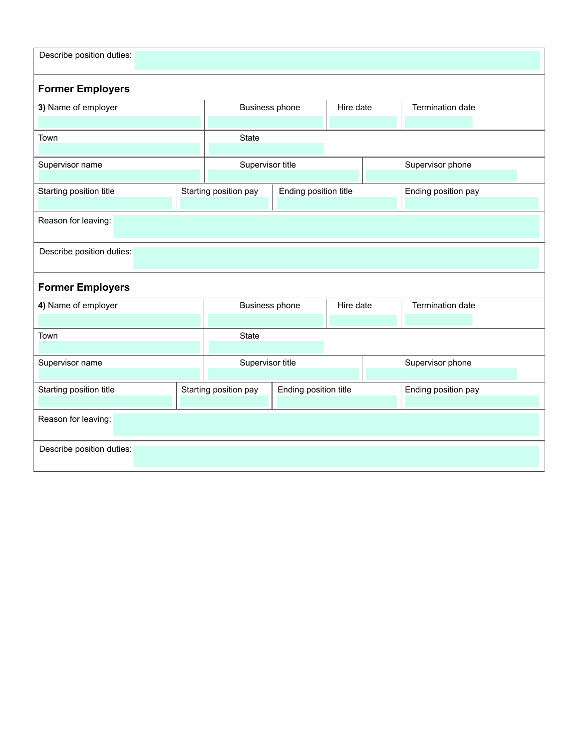| Describe position duties: |                                      |                                                                       |                       |           |  |                     |  |
|---------------------------|--------------------------------------|-----------------------------------------------------------------------|-----------------------|-----------|--|---------------------|--|
| <b>Former Employers</b>   |                                      |                                                                       |                       |           |  |                     |  |
| 3) Name of employer       |                                      | Business phone                                                        |                       | Hire date |  | Termination date    |  |
| Town                      |                                      | State                                                                 |                       |           |  |                     |  |
| Supervisor name           |                                      | Supervisor title                                                      |                       |           |  | Supervisor phone    |  |
| Starting position title   |                                      | Starting position pay                                                 | Ending position title |           |  | Ending position pay |  |
| Reason for leaving:       |                                      |                                                                       |                       |           |  |                     |  |
| Describe position duties: |                                      |                                                                       |                       |           |  |                     |  |
| <b>Former Employers</b>   |                                      |                                                                       |                       |           |  |                     |  |
| 4) Name of employer       |                                      | Business phone                                                        |                       | Hire date |  | Termination date    |  |
| Town                      | State                                |                                                                       |                       |           |  |                     |  |
| Supervisor name           | Supervisor title<br>Supervisor phone |                                                                       |                       |           |  |                     |  |
| Starting position title   |                                      | Ending position title<br>Starting position pay<br>Ending position pay |                       |           |  |                     |  |
| Reason for leaving:       |                                      |                                                                       |                       |           |  |                     |  |
| Describe position duties: |                                      |                                                                       |                       |           |  |                     |  |